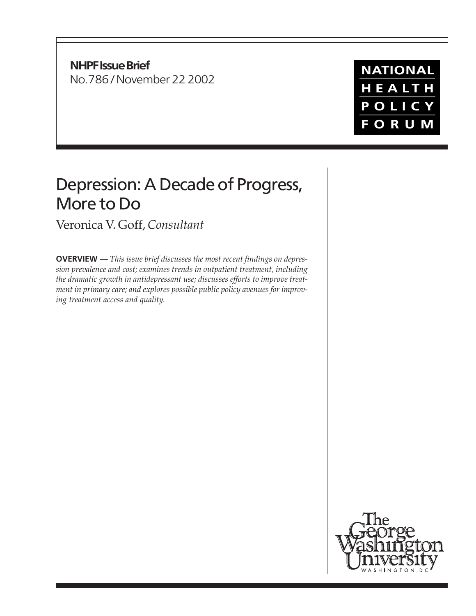**NHPF Issue Brief** No.786 / November 22 2002

# **NATIONAL** HEALTH POLICY **FORUM**

# Depression: A Decade of Progress, More to Do

Veronica V. Goff, *Consultant*

**OVERVIEW —** *This issue brief discusses the most recent findings on depression prevalence and cost; examines trends in outpatient treatment, including the dramatic growth in antidepressant use; discusses efforts to improve treatment in primary care; and explores possible public policy avenues for improving treatment access and quality.*

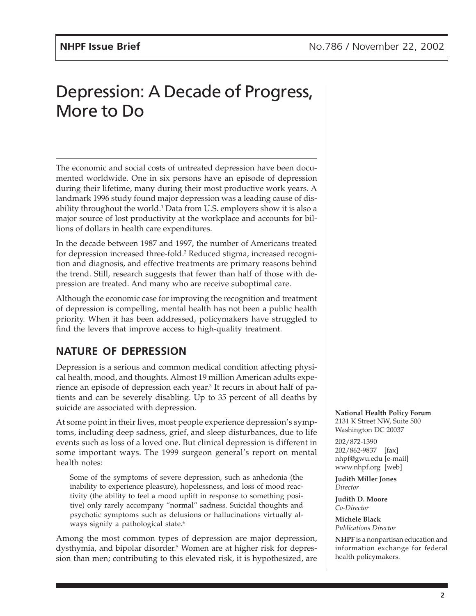# Depression: A Decade of Progress, More to Do

The economic and social costs of untreated depression have been documented worldwide. One in six persons have an episode of depression during their lifetime, many during their most productive work years. A landmark 1996 study found major depression was a leading cause of disability throughout the world.<sup>1</sup> Data from U.S. employers show it is also a major source of lost productivity at the workplace and accounts for billions of dollars in health care expenditures.

In the decade between 1987 and 1997, the number of Americans treated for depression increased three-fold.<sup>2</sup> Reduced stigma, increased recognition and diagnosis, and effective treatments are primary reasons behind the trend. Still, research suggests that fewer than half of those with depression are treated. And many who are receive suboptimal care.

Although the economic case for improving the recognition and treatment of depression is compelling, mental health has not been a public health priority. When it has been addressed, policymakers have struggled to find the levers that improve access to high-quality treatment.

### **NATURE OF DEPRESSION**

Depression is a serious and common medical condition affecting physical health, mood, and thoughts. Almost 19 million American adults experience an episode of depression each year.<sup>3</sup> It recurs in about half of patients and can be severely disabling. Up to 35 percent of all deaths by suicide are associated with depression.

At some point in their lives, most people experience depression's symptoms, including deep sadness, grief, and sleep disturbances, due to life events such as loss of a loved one. But clinical depression is different in some important ways. The 1999 surgeon general's report on mental health notes:

Some of the symptoms of severe depression, such as anhedonia (the inability to experience pleasure), hopelessness, and loss of mood reactivity (the ability to feel a mood uplift in response to something positive) only rarely accompany "normal" sadness. Suicidal thoughts and psychotic symptoms such as delusions or hallucinations virtually always signify a pathological state.<sup>4</sup>

Among the most common types of depression are major depression, dysthymia, and bipolar disorder.5 Women are at higher risk for depression than men; contributing to this elevated risk, it is hypothesized, are **National Health Policy Forum** 2131 K Street NW, Suite 500 Washington DC 20037

202/872-1390 202/862-9837 [fax] nhpf@gwu.edu [e-mail] www.nhpf.org [web]

**Judith Miller Jones** *Director*

**Judith D. Moore** *Co-Director*

**Michele Black** *Publications Director*

**NHPF** is a nonpartisan education and information exchange for federal health policymakers.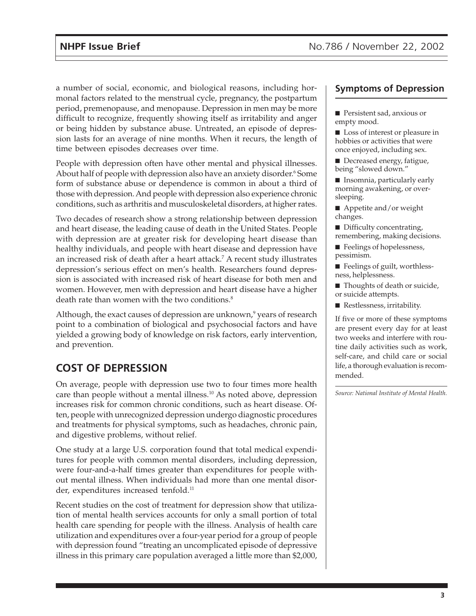a number of social, economic, and biological reasons, including hormonal factors related to the menstrual cycle, pregnancy, the postpartum period, premenopause, and menopause. Depression in men may be more difficult to recognize, frequently showing itself as irritability and anger or being hidden by substance abuse. Untreated, an episode of depression lasts for an average of nine months. When it recurs, the length of time between episodes decreases over time.

People with depression often have other mental and physical illnesses. About half of people with depression also have an anxiety disorder.6 Some form of substance abuse or dependence is common in about a third of those with depression. And people with depression also experience chronic conditions, such as arthritis and musculoskeletal disorders, at higher rates.

Two decades of research show a strong relationship between depression and heart disease, the leading cause of death in the United States. People with depression are at greater risk for developing heart disease than healthy individuals, and people with heart disease and depression have an increased risk of death after a heart attack.7 A recent study illustrates depression's serious effect on men's health. Researchers found depression is associated with increased risk of heart disease for both men and women. However, men with depression and heart disease have a higher death rate than women with the two conditions.<sup>8</sup>

Although, the exact causes of depression are unknown,<sup>9</sup> years of research point to a combination of biological and psychosocial factors and have yielded a growing body of knowledge on risk factors, early intervention, and prevention.

## **COST OF DEPRESSION**

On average, people with depression use two to four times more health care than people without a mental illness.<sup>10</sup> As noted above, depression increases risk for common chronic conditions, such as heart disease. Often, people with unrecognized depression undergo diagnostic procedures and treatments for physical symptoms, such as headaches, chronic pain, and digestive problems, without relief.

One study at a large U.S. corporation found that total medical expenditures for people with common mental disorders, including depression, were four-and-a-half times greater than expenditures for people without mental illness. When individuals had more than one mental disorder, expenditures increased tenfold.<sup>11</sup>

Recent studies on the cost of treatment for depression show that utilization of mental health services accounts for only a small portion of total health care spending for people with the illness. Analysis of health care utilization and expenditures over a four-year period for a group of people with depression found "treating an uncomplicated episode of depressive illness in this primary care population averaged a little more than \$2,000,

#### **Symptoms of Depression**

- Persistent sad, anxious or empty mood.
- Loss of interest or pleasure in hobbies or activities that were once enjoyed, including sex.
- Decreased energy, fatigue, being "slowed down."
- Insomnia, particularly early morning awakening, or oversleeping.
- Appetite and/or weight changes.
- Difficulty concentrating, remembering, making decisions.
- Feelings of hopelessness, pessimism.
- Feelings of guilt, worthlessness, helplessness.
- Thoughts of death or suicide, or suicide attempts.
- Restlessness, irritability.

If five or more of these symptoms are present every day for at least two weeks and interfere with routine daily activities such as work, self-care, and child care or social life, a thorough evaluation is recommended.

*Source: National Institute of Mental Health.*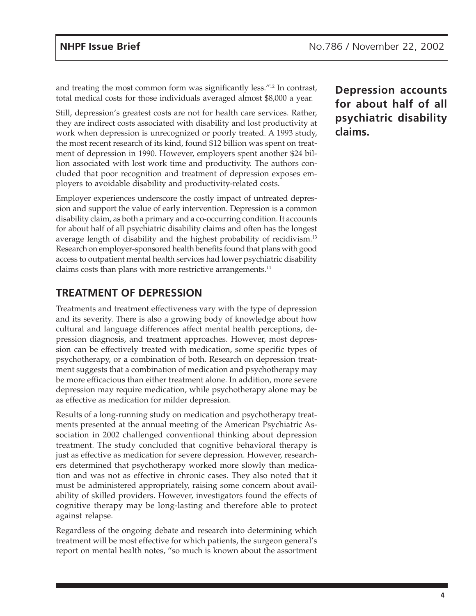and treating the most common form was significantly less."12 In contrast, total medical costs for those individuals averaged almost \$8,000 a year.

Still, depression's greatest costs are not for health care services. Rather, they are indirect costs associated with disability and lost productivity at work when depression is unrecognized or poorly treated. A 1993 study, the most recent research of its kind, found \$12 billion was spent on treatment of depression in 1990. However, employers spent another \$24 billion associated with lost work time and productivity. The authors concluded that poor recognition and treatment of depression exposes employers to avoidable disability and productivity-related costs.

Employer experiences underscore the costly impact of untreated depression and support the value of early intervention. Depression is a common disability claim, as both a primary and a co-occurring condition. It accounts for about half of all psychiatric disability claims and often has the longest average length of disability and the highest probability of recidivism.13 Research on employer-sponsored health benefits found that plans with good access to outpatient mental health services had lower psychiatric disability claims costs than plans with more restrictive arrangements.14

### **TREATMENT OF DEPRESSION**

Treatments and treatment effectiveness vary with the type of depression and its severity. There is also a growing body of knowledge about how cultural and language differences affect mental health perceptions, depression diagnosis, and treatment approaches. However, most depression can be effectively treated with medication, some specific types of psychotherapy, or a combination of both. Research on depression treatment suggests that a combination of medication and psychotherapy may be more efficacious than either treatment alone. In addition, more severe depression may require medication, while psychotherapy alone may be as effective as medication for milder depression.

Results of a long-running study on medication and psychotherapy treatments presented at the annual meeting of the American Psychiatric Association in 2002 challenged conventional thinking about depression treatment. The study concluded that cognitive behavioral therapy is just as effective as medication for severe depression. However, researchers determined that psychotherapy worked more slowly than medication and was not as effective in chronic cases. They also noted that it must be administered appropriately, raising some concern about availability of skilled providers. However, investigators found the effects of cognitive therapy may be long-lasting and therefore able to protect against relapse.

Regardless of the ongoing debate and research into determining which treatment will be most effective for which patients, the surgeon general's report on mental health notes, "so much is known about the assortment **Depression accounts for about half of all psychiatric disability claims.**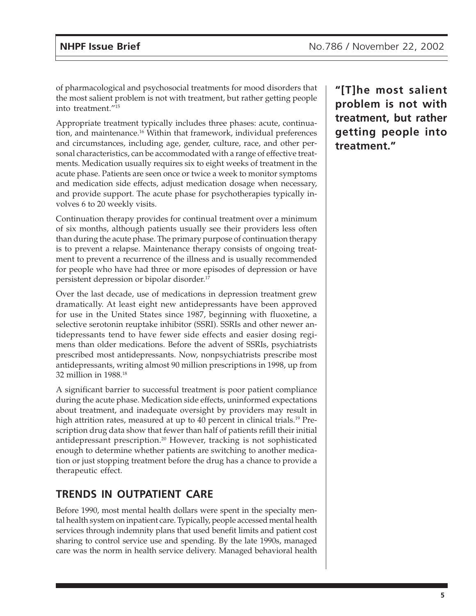of pharmacological and psychosocial treatments for mood disorders that the most salient problem is not with treatment, but rather getting people into treatment."15

Appropriate treatment typically includes three phases: acute, continuation, and maintenance.16 Within that framework, individual preferences and circumstances, including age, gender, culture, race, and other personal characteristics, can be accommodated with a range of effective treatments. Medication usually requires six to eight weeks of treatment in the acute phase. Patients are seen once or twice a week to monitor symptoms and medication side effects, adjust medication dosage when necessary, and provide support. The acute phase for psychotherapies typically involves 6 to 20 weekly visits.

Continuation therapy provides for continual treatment over a minimum of six months, although patients usually see their providers less often than during the acute phase. The primary purpose of continuation therapy is to prevent a relapse. Maintenance therapy consists of ongoing treatment to prevent a recurrence of the illness and is usually recommended for people who have had three or more episodes of depression or have persistent depression or bipolar disorder.17

Over the last decade, use of medications in depression treatment grew dramatically. At least eight new antidepressants have been approved for use in the United States since 1987, beginning with fluoxetine, a selective serotonin reuptake inhibitor (SSRI). SSRIs and other newer antidepressants tend to have fewer side effects and easier dosing regimens than older medications. Before the advent of SSRIs, psychiatrists prescribed most antidepressants. Now, nonpsychiatrists prescribe most antidepressants, writing almost 90 million prescriptions in 1998, up from 32 million in 1988.18

A significant barrier to successful treatment is poor patient compliance during the acute phase. Medication side effects, uninformed expectations about treatment, and inadequate oversight by providers may result in high attrition rates, measured at up to 40 percent in clinical trials.<sup>19</sup> Prescription drug data show that fewer than half of patients refill their initial antidepressant prescription.20 However, tracking is not sophisticated enough to determine whether patients are switching to another medication or just stopping treatment before the drug has a chance to provide a therapeutic effect.

### **TRENDS IN OUTPATIENT CARE**

Before 1990, most mental health dollars were spent in the specialty mental health system on inpatient care. Typically, people accessed mental health services through indemnity plans that used benefit limits and patient cost sharing to control service use and spending. By the late 1990s, managed care was the norm in health service delivery. Managed behavioral health **"[T]he most salient problem is not with treatment, but rather getting people into treatment."**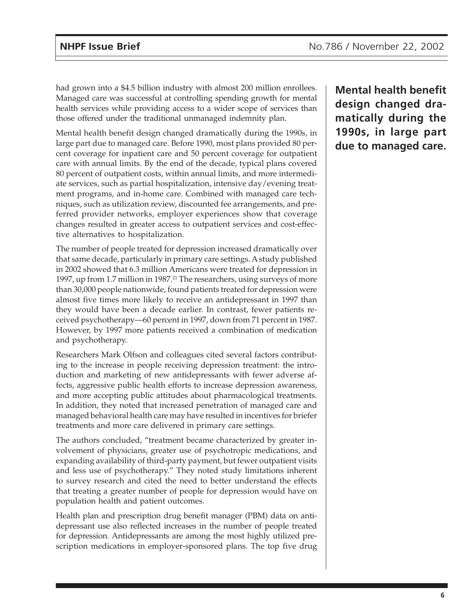had grown into a \$4.5 billion industry with almost 200 million enrollees. Managed care was successful at controlling spending growth for mental health services while providing access to a wider scope of services than those offered under the traditional unmanaged indemnity plan.

Mental health benefit design changed dramatically during the 1990s, in large part due to managed care. Before 1990, most plans provided 80 percent coverage for inpatient care and 50 percent coverage for outpatient care with annual limits. By the end of the decade, typical plans covered 80 percent of outpatient costs, within annual limits, and more intermediate services, such as partial hospitalization, intensive day/evening treatment programs, and in-home care. Combined with managed care techniques, such as utilization review, discounted fee arrangements, and preferred provider networks, employer experiences show that coverage changes resulted in greater access to outpatient services and cost-effective alternatives to hospitalization.

The number of people treated for depression increased dramatically over that same decade, particularly in primary care settings. A study published in 2002 showed that 6.3 million Americans were treated for depression in 1997, up from 1.7 million in 1987.<sup>21</sup> The researchers, using surveys of more than 30,000 people nationwide, found patients treated for depression were almost five times more likely to receive an antidepressant in 1997 than they would have been a decade earlier. In contrast, fewer patients received psychotherapy—60 percent in 1997, down from 71 percent in 1987. However, by 1997 more patients received a combination of medication and psychotherapy.

Researchers Mark Olfson and colleagues cited several factors contributing to the increase in people receiving depression treatment: the introduction and marketing of new antidepressants with fewer adverse affects, aggressive public health efforts to increase depression awareness, and more accepting public attitudes about pharmacological treatments. In addition, they noted that increased penetration of managed care and managed behavioral health care may have resulted in incentives for briefer treatments and more care delivered in primary care settings.

The authors concluded, "treatment became characterized by greater involvement of physicians, greater use of psychotropic medications, and expanding availability of third-party payment, but fewer outpatient visits and less use of psychotherapy." They noted study limitations inherent to survey research and cited the need to better understand the effects that treating a greater number of people for depression would have on population health and patient outcomes.

Health plan and prescription drug benefit manager (PBM) data on antidepressant use also reflected increases in the number of people treated for depression. Antidepressants are among the most highly utilized prescription medications in employer-sponsored plans. The top five drug

**Mental health benefit design changed dramatically during the 1990s, in large part due to managed care.**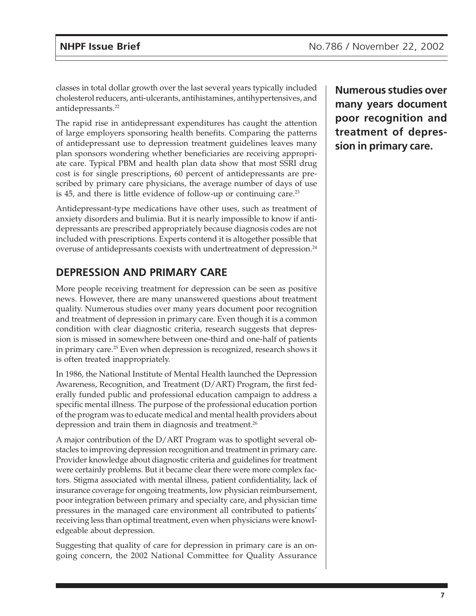classes in total dollar growth over the last several years typically included cholesterol reducers, anti-ulcerants, antihistamines, antihypertensives, and antidepressants.22

The rapid rise in antidepressant expenditures has caught the attention of large employers sponsoring health benefits. Comparing the patterns of antidepressant use to depression treatment guidelines leaves many plan sponsors wondering whether beneficiaries are receiving appropriate care. Typical PBM and health plan data show that most SSRI drug cost is for single prescriptions, 60 percent of antidepressants are prescribed by primary care physicians, the average number of days of use is 45, and there is little evidence of follow-up or continuing care.<sup>23</sup>

Antidepressant-type medications have other uses, such as treatment of anxiety disorders and bulimia. But it is nearly impossible to know if antidepressants are prescribed appropriately because diagnosis codes are not included with prescriptions. Experts contend it is altogether possible that overuse of antidepressants coexists with undertreatment of depression.24

### **DEPRESSION AND PRIMARY CARE**

More people receiving treatment for depression can be seen as positive news. However, there are many unanswered questions about treatment quality. Numerous studies over many years document poor recognition and treatment of depression in primary care. Even though it is a common condition with clear diagnostic criteria, research suggests that depression is missed in somewhere between one-third and one-half of patients in primary care.<sup>25</sup> Even when depression is recognized, research shows it is often treated inappropriately.

In 1986, the National Institute of Mental Health launched the Depression Awareness, Recognition, and Treatment (D/ART) Program, the first federally funded public and professional education campaign to address a specific mental illness. The purpose of the professional education portion of the program was to educate medical and mental health providers about depression and train them in diagnosis and treatment.<sup>26</sup>

A major contribution of the D/ART Program was to spotlight several obstacles to improving depression recognition and treatment in primary care. Provider knowledge about diagnostic criteria and guidelines for treatment were certainly problems. But it became clear there were more complex factors. Stigma associated with mental illness, patient confidentiality, lack of insurance coverage for ongoing treatments, low physician reimbursement, poor integration between primary and specialty care, and physician time pressures in the managed care environment all contributed to patients' receiving less than optimal treatment, even when physicians were knowledgeable about depression.

Suggesting that quality of care for depression in primary care is an ongoing concern, the 2002 National Committee for Quality Assurance

**Numerous studies over many years document poor recognition and treatment of depression in primary care.**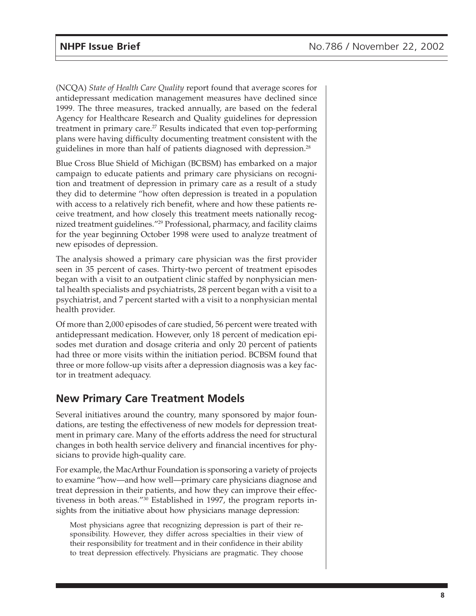(NCQA) *State of Health Care Quality* report found that average scores for antidepressant medication management measures have declined since 1999. The three measures, tracked annually, are based on the federal Agency for Healthcare Research and Quality guidelines for depression treatment in primary care.<sup>27</sup> Results indicated that even top-performing plans were having difficulty documenting treatment consistent with the guidelines in more than half of patients diagnosed with depression.28

Blue Cross Blue Shield of Michigan (BCBSM) has embarked on a major campaign to educate patients and primary care physicians on recognition and treatment of depression in primary care as a result of a study they did to determine "how often depression is treated in a population with access to a relatively rich benefit, where and how these patients receive treatment, and how closely this treatment meets nationally recognized treatment guidelines."29 Professional, pharmacy, and facility claims for the year beginning October 1998 were used to analyze treatment of new episodes of depression.

The analysis showed a primary care physician was the first provider seen in 35 percent of cases. Thirty-two percent of treatment episodes began with a visit to an outpatient clinic staffed by nonphysician mental health specialists and psychiatrists, 28 percent began with a visit to a psychiatrist, and 7 percent started with a visit to a nonphysician mental health provider.

Of more than 2,000 episodes of care studied, 56 percent were treated with antidepressant medication. However, only 18 percent of medication episodes met duration and dosage criteria and only 20 percent of patients had three or more visits within the initiation period. BCBSM found that three or more follow-up visits after a depression diagnosis was a key factor in treatment adequacy.

### **New Primary Care Treatment Models**

Several initiatives around the country, many sponsored by major foundations, are testing the effectiveness of new models for depression treatment in primary care. Many of the efforts address the need for structural changes in both health service delivery and financial incentives for physicians to provide high-quality care.

For example, the MacArthur Foundation is sponsoring a variety of projects to examine "how—and how well—primary care physicians diagnose and treat depression in their patients, and how they can improve their effectiveness in both areas."30 Established in 1997, the program reports insights from the initiative about how physicians manage depression:

Most physicians agree that recognizing depression is part of their responsibility. However, they differ across specialties in their view of their responsibility for treatment and in their confidence in their ability to treat depression effectively. Physicians are pragmatic. They choose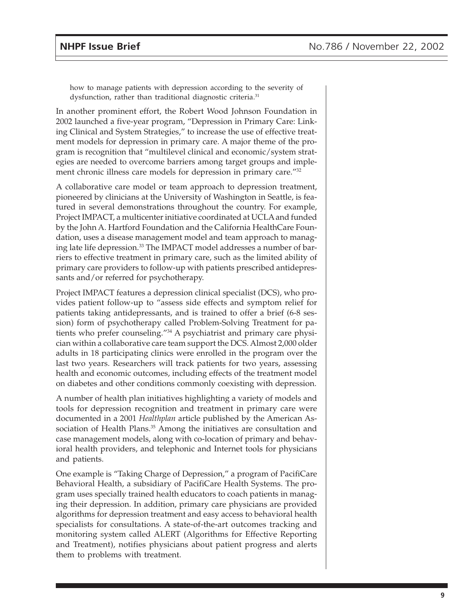how to manage patients with depression according to the severity of dysfunction, rather than traditional diagnostic criteria.<sup>31</sup>

In another prominent effort, the Robert Wood Johnson Foundation in 2002 launched a five-year program, "Depression in Primary Care: Linking Clinical and System Strategies," to increase the use of effective treatment models for depression in primary care. A major theme of the program is recognition that "multilevel clinical and economic/system strategies are needed to overcome barriers among target groups and implement chronic illness care models for depression in primary care."<sup>32</sup>

A collaborative care model or team approach to depression treatment, pioneered by clinicians at the University of Washington in Seattle, is featured in several demonstrations throughout the country. For example, Project IMPACT, a multicenter initiative coordinated at UCLA and funded by the John A. Hartford Foundation and the California HealthCare Foundation, uses a disease management model and team approach to managing late life depression.<sup>33</sup> The IMPACT model addresses a number of barriers to effective treatment in primary care, such as the limited ability of primary care providers to follow-up with patients prescribed antidepressants and/or referred for psychotherapy.

Project IMPACT features a depression clinical specialist (DCS), who provides patient follow-up to "assess side effects and symptom relief for patients taking antidepressants, and is trained to offer a brief (6-8 session) form of psychotherapy called Problem-Solving Treatment for patients who prefer counseling."<sup>34</sup> A psychiatrist and primary care physician within a collaborative care team support the DCS. Almost 2,000 older adults in 18 participating clinics were enrolled in the program over the last two years. Researchers will track patients for two years, assessing health and economic outcomes, including effects of the treatment model on diabetes and other conditions commonly coexisting with depression.

A number of health plan initiatives highlighting a variety of models and tools for depression recognition and treatment in primary care were documented in a 2001 *Healthplan* article published by the American Association of Health Plans.<sup>35</sup> Among the initiatives are consultation and case management models, along with co-location of primary and behavioral health providers, and telephonic and Internet tools for physicians and patients.

One example is "Taking Charge of Depression," a program of PacifiCare Behavioral Health, a subsidiary of PacifiCare Health Systems. The program uses specially trained health educators to coach patients in managing their depression. In addition, primary care physicians are provided algorithms for depression treatment and easy access to behavioral health specialists for consultations. A state-of-the-art outcomes tracking and monitoring system called ALERT (Algorithms for Effective Reporting and Treatment), notifies physicians about patient progress and alerts them to problems with treatment.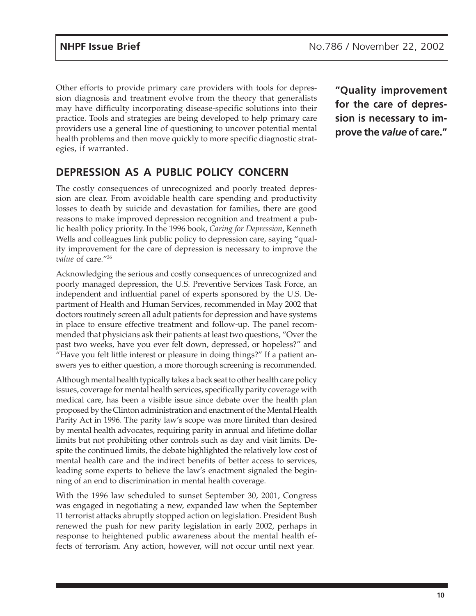Other efforts to provide primary care providers with tools for depression diagnosis and treatment evolve from the theory that generalists may have difficulty incorporating disease-specific solutions into their practice. Tools and strategies are being developed to help primary care providers use a general line of questioning to uncover potential mental health problems and then move quickly to more specific diagnostic strategies, if warranted.

### **DEPRESSION AS A PUBLIC POLICY CONCERN**

The costly consequences of unrecognized and poorly treated depression are clear. From avoidable health care spending and productivity losses to death by suicide and devastation for families, there are good reasons to make improved depression recognition and treatment a public health policy priority. In the 1996 book, *Caring for Depression*, Kenneth Wells and colleagues link public policy to depression care, saying "quality improvement for the care of depression is necessary to improve the *value* of care."36

Acknowledging the serious and costly consequences of unrecognized and poorly managed depression, the U.S. Preventive Services Task Force, an independent and influential panel of experts sponsored by the U.S. Department of Health and Human Services, recommended in May 2002 that doctors routinely screen all adult patients for depression and have systems in place to ensure effective treatment and follow-up. The panel recommended that physicians ask their patients at least two questions, "Over the past two weeks, have you ever felt down, depressed, or hopeless?" and "Have you felt little interest or pleasure in doing things?" If a patient answers yes to either question, a more thorough screening is recommended.

Although mental health typically takes a back seat to other health care policy issues, coverage for mental health services, specifically parity coverage with medical care, has been a visible issue since debate over the health plan proposed by the Clinton administration and enactment of the Mental Health Parity Act in 1996. The parity law's scope was more limited than desired by mental health advocates, requiring parity in annual and lifetime dollar limits but not prohibiting other controls such as day and visit limits. Despite the continued limits, the debate highlighted the relatively low cost of mental health care and the indirect benefits of better access to services, leading some experts to believe the law's enactment signaled the beginning of an end to discrimination in mental health coverage.

With the 1996 law scheduled to sunset September 30, 2001, Congress was engaged in negotiating a new, expanded law when the September 11 terrorist attacks abruptly stopped action on legislation. President Bush renewed the push for new parity legislation in early 2002, perhaps in response to heightened public awareness about the mental health effects of terrorism. Any action, however, will not occur until next year.

**"Quality improvement for the care of depression is necessary to improve the** *value* **of care."**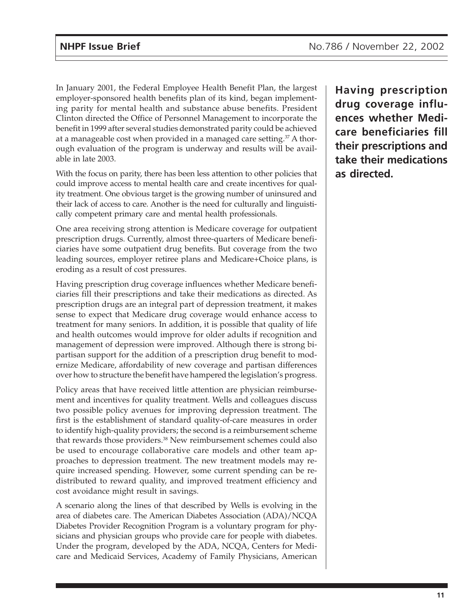In January 2001, the Federal Employee Health Benefit Plan, the largest employer-sponsored health benefits plan of its kind, began implementing parity for mental health and substance abuse benefits. President Clinton directed the Office of Personnel Management to incorporate the benefit in 1999 after several studies demonstrated parity could be achieved at a manageable cost when provided in a managed care setting.37 A thorough evaluation of the program is underway and results will be available in late 2003.

With the focus on parity, there has been less attention to other policies that could improve access to mental health care and create incentives for quality treatment. One obvious target is the growing number of uninsured and their lack of access to care. Another is the need for culturally and linguistically competent primary care and mental health professionals.

One area receiving strong attention is Medicare coverage for outpatient prescription drugs. Currently, almost three-quarters of Medicare beneficiaries have some outpatient drug benefits. But coverage from the two leading sources, employer retiree plans and Medicare+Choice plans, is eroding as a result of cost pressures.

Having prescription drug coverage influences whether Medicare beneficiaries fill their prescriptions and take their medications as directed. As prescription drugs are an integral part of depression treatment, it makes sense to expect that Medicare drug coverage would enhance access to treatment for many seniors. In addition, it is possible that quality of life and health outcomes would improve for older adults if recognition and management of depression were improved. Although there is strong bipartisan support for the addition of a prescription drug benefit to modernize Medicare, affordability of new coverage and partisan differences over how to structure the benefit have hampered the legislation's progress.

Policy areas that have received little attention are physician reimbursement and incentives for quality treatment. Wells and colleagues discuss two possible policy avenues for improving depression treatment. The first is the establishment of standard quality-of-care measures in order to identify high-quality providers; the second is a reimbursement scheme that rewards those providers.<sup>38</sup> New reimbursement schemes could also be used to encourage collaborative care models and other team approaches to depression treatment. The new treatment models may require increased spending. However, some current spending can be redistributed to reward quality, and improved treatment efficiency and cost avoidance might result in savings.

A scenario along the lines of that described by Wells is evolving in the area of diabetes care. The American Diabetes Association (ADA)/NCQA Diabetes Provider Recognition Program is a voluntary program for physicians and physician groups who provide care for people with diabetes. Under the program, developed by the ADA, NCQA, Centers for Medicare and Medicaid Services, Academy of Family Physicians, American

**Having prescription drug coverage influences whether Medicare beneficiaries fill their prescriptions and take their medications as directed.**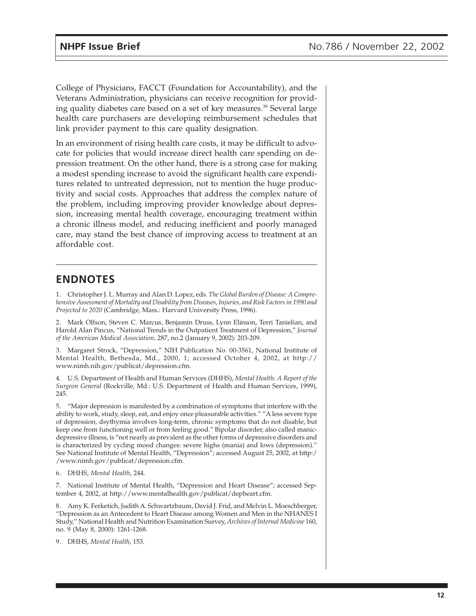College of Physicians, FACCT (Foundation for Accountability), and the Veterans Administration, physicians can receive recognition for providing quality diabetes care based on a set of key measures.<sup>39</sup> Several large health care purchasers are developing reimbursement schedules that link provider payment to this care quality designation.

In an environment of rising health care costs, it may be difficult to advocate for policies that would increase direct health care spending on depression treatment. On the other hand, there is a strong case for making a modest spending increase to avoid the significant health care expenditures related to untreated depression, not to mention the huge productivity and social costs. Approaches that address the complex nature of the problem, including improving provider knowledge about depression, increasing mental health coverage, encouraging treatment within a chronic illness model, and reducing inefficient and poorly managed care, may stand the best chance of improving access to treatment at an affordable cost.

### **ENDNOTES**

1. Christopher J. L. Murray and Alan D. Lopez, eds. *The Global Burden of Disease: A Comprehensive Assessment of Mortality and Disability from Diseases, Injuries, and Risk Factors in 1990 and Projected to 2020* (Cambridge, Mass.: Harvard University Press, 1996).

2. Mark Olfson, Steven C. Marcus, Benjamin Druss, Lynn Elinson, Terri Tanielian, and Harold Alan Pincus, "National Trends in the Outpatient Treatment of Depression," *Journal of the American Medical Association,* 287, no.2 (January 9, 2002): 203-209.

3. Margaret Strock, "Depression," NIH Publication No. 00-3561, National Institute of Mental Health, Bethesda, Md., 2000, 1; accessed October 4, 2002, at http:// www.nimh.nih.gov/publicat/depression.cfm.

4. U.S. Department of Health and Human Services (DHHS), *Mental Health: A Report of the Surgeon General* (Rockville, Md.: U.S. Department of Health and Human Services, 1999), 245.

5. "Major depression is manifested by a combination of symptoms that interfere with the ability to work, study, sleep, eat, and enjoy once pleasurable activities." "A less severe type of depression, dsythymia involves long-term, chronic symptoms that do not disable, but keep one from functioning well or from feeling good." Bipolar disorder, also called manicdepressive illness, is "not nearly as prevalent as the other forms of depressive disorders and is characterized by cycling mood changes: severe highs (mania) and lows (depression)." See National Institute of Mental Health, "Depression"; accessed August 25, 2002, at http:/ /www.nimh.gov/publicat/depression.cfm.

6. DHHS, *Mental Health*, 244.

7. National Institute of Mental Health, "Depression and Heart Disease"; accessed September 4, 2002, at http://www.mentalhealth.gov/publicat/depheart.cfm.

8. Amy K. Ferketich, Judith A. Schwartzbaum, David J. Frid, and Melvin L. Moeschberger, "Depression as an Antecedent to Heart Disease among Women and Men in the NHANES I Study," National Health and Nutrition Examination Survey, *Archives of Internal Medicine* 160, no. 9 (May 8, 2000): 1261-1268.

9. DHHS, *Mental Health*, 153.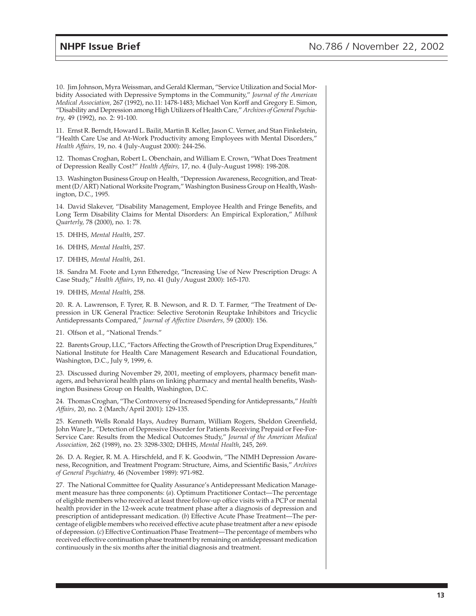10. Jim Johnson, Myra Weissman, and Gerald Klerman, "Service Utilization and Social Morbidity Associated with Depressive Symptoms in the Community," *Journal of the American Medical Association,* 267 (1992), no.11: 1478-1483; Michael Von Korff and Gregory E. Simon, "Disability and Depression among High Utilizers of Health Care," *Archives of General Psychiatry,* 49 (1992), no. 2: 91-100.

11. Ernst R. Berndt, Howard L. Bailit, Martin B. Keller, Jason C. Verner, and Stan Finkelstein, "Health Care Use and At-Work Productivity among Employees with Mental Disorders," *Health Affairs,* 19, no. 4 (July-August 2000): 244-256.

12. Thomas Croghan, Robert L. Obenchain, and William E. Crown, "What Does Treatment of Depression Really Cost?" *Health Affairs,* 17, no. 4 (July-August 1998): 198-208.

13. Washington Business Group on Health, "Depression Awareness, Recognition, and Treatment (D/ART) National Worksite Program," Washington Business Group on Health, Washington, D.C., 1995.

14. David Slakever, "Disability Management, Employee Health and Fringe Benefits, and Long Term Disability Claims for Mental Disorders: An Empirical Exploration," *Milbank Quarterly,* 78 (2000), no. 1: 78.

15. DHHS, *Mental Health*, 257.

16. DHHS, *Mental Health*, 257.

17. DHHS, *Mental Health*, 261.

18. Sandra M. Foote and Lynn Etheredge, "Increasing Use of New Prescription Drugs: A Case Study," *Health Affairs,* 19, no. 41 (July/August 2000): 165-170.

19. DHHS, *Mental Health*, 258.

20. R. A. Lawrenson, F. Tyrer, R. B. Newson, and R. D. T. Farmer, "The Treatment of Depression in UK General Practice: Selective Serotonin Reuptake Inhibitors and Tricyclic Antidepressants Compared," *Journal of Affective Disorders,* 59 (2000): 156.

21. Olfson et al., "National Trends."

22. Barents Group, LLC, "Factors Affecting the Growth of Prescription Drug Expenditures," National Institute for Health Care Management Research and Educational Foundation, Washington, D.C., July 9, 1999, 6.

23. Discussed during November 29, 2001, meeting of employers, pharmacy benefit managers, and behavioral health plans on linking pharmacy and mental health benefits, Washington Business Group on Health, Washington, D.C.

24. Thomas Croghan, "The Controversy of Increased Spending for Antidepressants," *Health Affairs,* 20, no. 2 (March/April 2001): 129-135.

25. Kenneth Wells Ronald Hays, Audrey Burnam, William Rogers, Sheldon Greenfield, John Ware Jr., "Detection of Depressive Disorder for Patients Receiving Prepaid or Fee-For-Service Care: Results from the Medical Outcomes Study," *Journal of the American Medical Association,* 262 (1989), no. 23: 3298-3302; DHHS, *Mental Health*, 245, 269.

26. D. A. Regier, R. M. A. Hirschfeld, and F. K. Goodwin, "The NIMH Depression Awareness, Recognition, and Treatment Program: Structure, Aims, and Scientific Basis," *Archives of General Psychiatry,* 46 (November 1989): 971-982.

27. The National Committee for Quality Assurance's Antidepressant Medication Management measure has three components: (*a*). Optimum Practitioner Contact—The percentage of eligible members who received at least three follow-up office visits with a PCP or mental health provider in the 12-week acute treatment phase after a diagnosis of depression and prescription of antidepressant medication. (*b*) Effective Acute Phase Treatment—The percentage of eligible members who received effective acute phase treatment after a new episode of depression. (*c*) Effective Continuation Phase Treatment—The percentage of members who received effective continuation phase treatment by remaining on antidepressant medication continuously in the six months after the initial diagnosis and treatment.